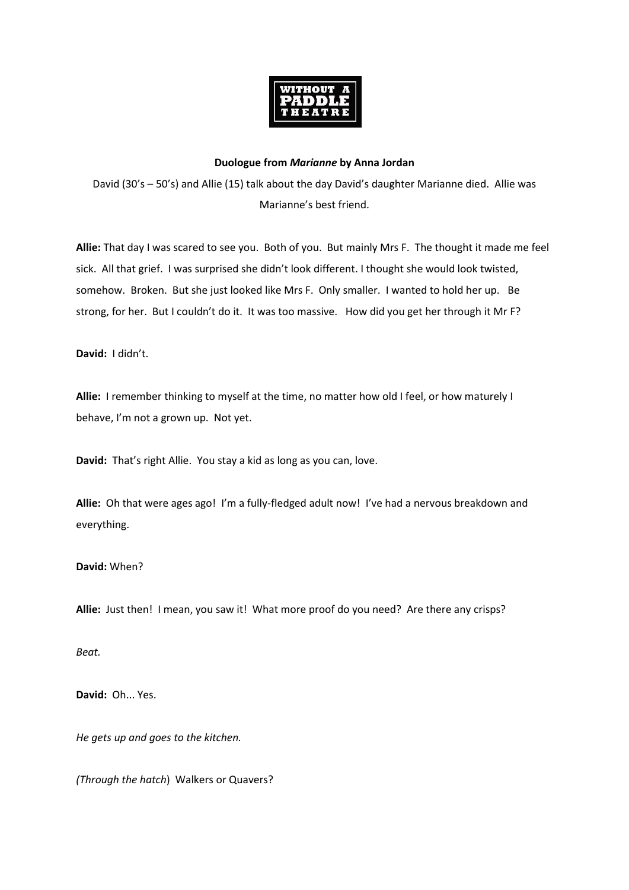

## **Duologue from** *Marianne* **by Anna Jordan**

David (30's – 50's) and Allie (15) talk about the day David's daughter Marianne died. Allie was Marianne's best friend.

**Allie:** That day I was scared to see you. Both of you. But mainly Mrs F. The thought it made me feel sick. All that grief. I was surprised she didn't look different. I thought she would look twisted, somehow. Broken. But she just looked like Mrs F. Only smaller. I wanted to hold her up. Be strong, for her. But I couldn't do it. It was too massive. How did you get her through it Mr F?

**David:** I didn't.

**Allie:** I remember thinking to myself at the time, no matter how old I feel, or how maturely I behave, I'm not a grown up. Not yet.

**David:** That's right Allie. You stay a kid as long as you can, love.

**Allie:** Oh that were ages ago! I'm a fully-fledged adult now! I've had a nervous breakdown and everything.

**David:** When?

**Allie:** Just then! I mean, you saw it! What more proof do you need? Are there any crisps?

*Beat.* 

**David:** Oh... Yes.

*He gets up and goes to the kitchen.*

*(Through the hatch*) Walkers or Quavers?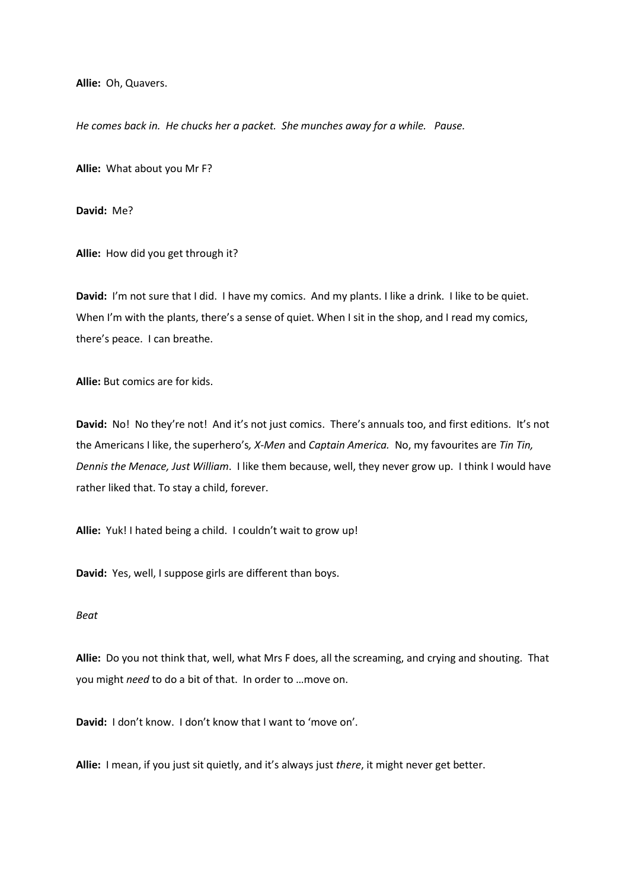**Allie:** Oh, Quavers.

*He comes back in. He chucks her a packet. She munches away for a while. Pause.* 

**Allie:** What about you Mr F?

**David:** Me?

**Allie:** How did you get through it?

**David:** I'm not sure that I did. I have my comics. And my plants. I like a drink. I like to be quiet. When I'm with the plants, there's a sense of quiet. When I sit in the shop, and I read my comics, there's peace. I can breathe.

**Allie:** But comics are for kids.

**David:** No! No they're not! And it's not just comics. There's annuals too, and first editions. It's not the Americans I like, the superhero's*, X-Men* and *Captain America.* No, my favourites are *Tin Tin, Dennis the Menace, Just William*. I like them because, well, they never grow up. I think I would have rather liked that. To stay a child, forever.

**Allie:** Yuk! I hated being a child. I couldn't wait to grow up!

**David:** Yes, well, I suppose girls are different than boys.

## *Beat*

**Allie:** Do you not think that, well, what Mrs F does, all the screaming, and crying and shouting. That you might *need* to do a bit of that. In order to …move on.

**David:** I don't know. I don't know that I want to 'move on'.

**Allie:** I mean, if you just sit quietly, and it's always just *there*, it might never get better.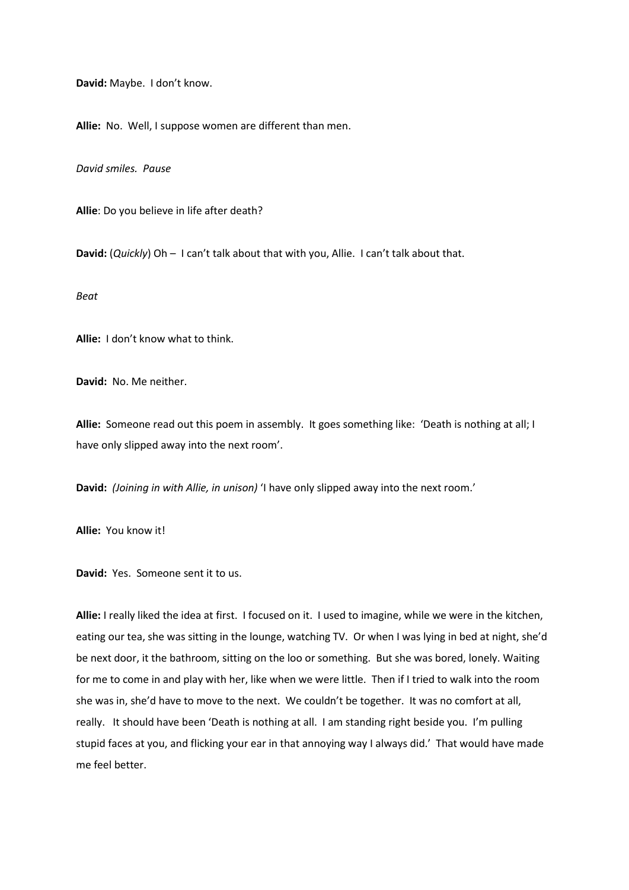**David:** Maybe. I don't know.

**Allie:** No. Well, I suppose women are different than men.

*David smiles. Pause*

**Allie**: Do you believe in life after death?

**David:** (*Quickly*) Oh – I can't talk about that with you, Allie. I can't talk about that.

*Beat*

**Allie:** I don't know what to think.

**David:** No. Me neither.

**Allie:** Someone read out this poem in assembly. It goes something like: 'Death is nothing at all; I have only slipped away into the next room'.

**David:** *(Joining in with Allie, in unison)* 'I have only slipped away into the next room.'

**Allie:** You know it!

**David:** Yes. Someone sent it to us.

**Allie:** I really liked the idea at first. I focused on it. I used to imagine, while we were in the kitchen, eating our tea, she was sitting in the lounge, watching TV. Or when I was lying in bed at night, she'd be next door, it the bathroom, sitting on the loo or something. But she was bored, lonely. Waiting for me to come in and play with her, like when we were little. Then if I tried to walk into the room she was in, she'd have to move to the next. We couldn't be together. It was no comfort at all, really. It should have been 'Death is nothing at all. I am standing right beside you. I'm pulling stupid faces at you, and flicking your ear in that annoying way I always did.' That would have made me feel better.